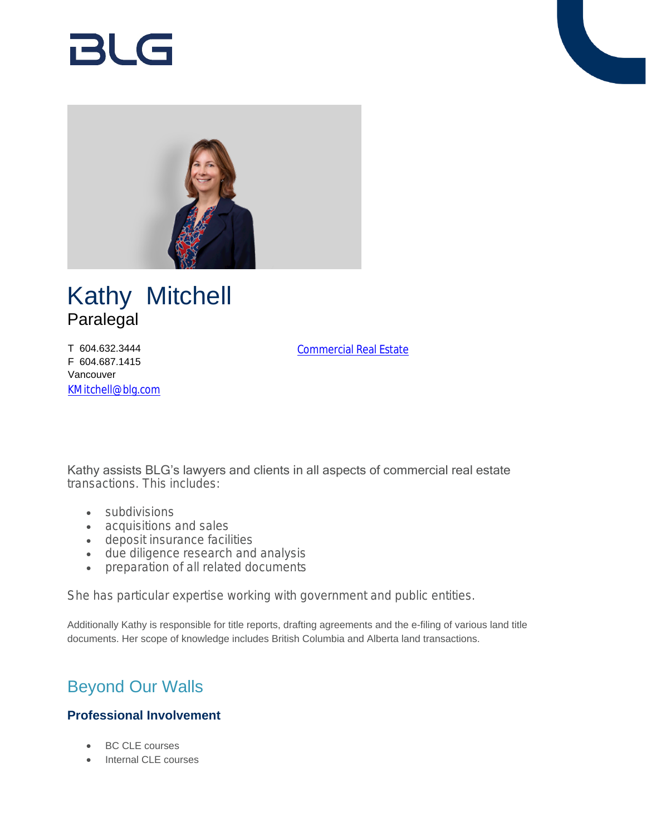# BLG



## Kathy Mitchell Paralegal

T 604.632.3444 F 604.687.1415 Vancouver [KMitchell@blg.com](mailto:KMitchell@blg.com) [Commercial Real Estate](https://www.blg.com/en/services/practice-areas/commercial-real-estate)

Kathy assists BLG's lawyers and clients in all aspects of commercial real estate transactions. This includes:

- subdivisions
- acquisitions and sales
- deposit insurance facilities
- due diligence research and analysis
- preparation of all related documents

She has particular expertise working with government and public entities.

Additionally Kathy is responsible for title reports, drafting agreements and the e-filing of various land title documents. Her scope of knowledge includes British Columbia and Alberta land transactions.

## Beyond Our Walls

### **Professional Involvement**

- BC CLE courses
- Internal CLE courses